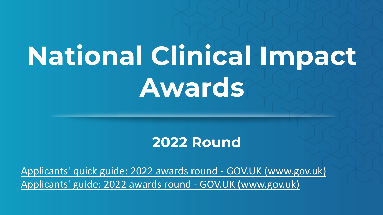# **National Clinical Impact Awards**

#### **2022 Round**

[Applicants' quick guide: 2022 awards round -](https://www.gov.uk/government/publications/clinical-excellence-awards-application-guidance/applicants-quick-guide-2022-awards-round) GOV.UK (www.gov.uk) [Applicants' guide: 2022 awards round -](https://www.gov.uk/government/publications/clinical-excellence-awards-application-guidance/guide-for-applicants-national-clinical-excellence-awards-2021-awards-round) GOV.UK (www.gov.uk)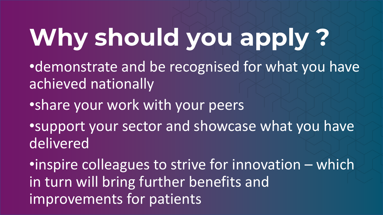## **Why should you apply ?**

- •demonstrate and be recognised for what you have achieved nationally
- •share your work with your peers
- •support your sector and showcase what you have delivered

•inspire colleagues to strive for innovation – which in turn will bring further benefits and improvements for patients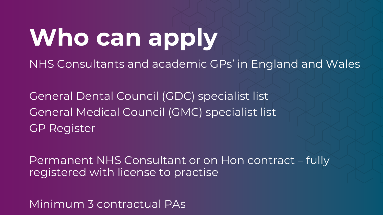## **Who can apply**

NHS Consultants and academic GPs' in England and Wales

General Dental Council (GDC) specialist list General Medical Council (GMC) specialist list GP Register

Permanent NHS Consultant or on Hon contract – fully registered with license to practise

Minimum 3 contractual PAs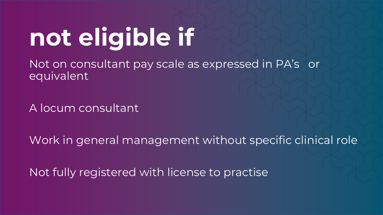### **not eligible if**

Not on consultant pay scale as expressed in PA's or equivalent

A locum consultant

Work in general management without specific clinical role

Not fully registered with license to practise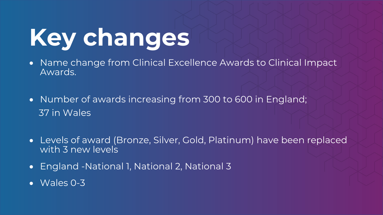#### **Key changes**

- Name change from Clinical Excellence Awards to Clinical Impact Awards.
- Number of awards increasing from 300 to 600 in England; 37 in Wales
- Levels of award (Bronze, Silver, Gold, Platinum) have been replaced with 3 new levels
- England -National 1, National 2, National 3
- Wales 0-3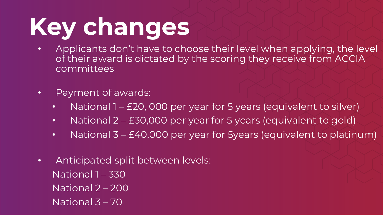### **Key changes**

- Applicants don't have to choose their level when applying, the level of their award is dictated by the scoring they receive from ACCIA committees
- Payment of awards:
	- National 1 £20, 000 per year for 5 years (equivalent to silver)
	- National 2 £30,000 per year for 5 years (equivalent to gold)
	- National 3 £40,000 per year for 5 years (equivalent to platinum)
- Anticipated split between levels: National 1 – 330 National 2 – 200 National 3 – 70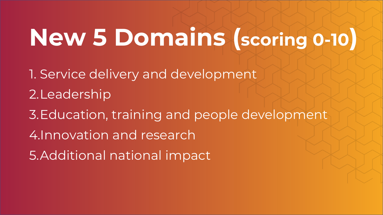#### **New 5 Domains (scoring 0-10)**

- 1. Service delivery and development 2.Leadership
- 3.Education, training and people development
- 4.Innovation and research
- 5.Additional national impact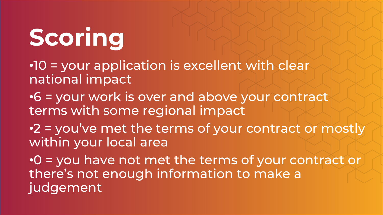## **Scoring**

- •10 = your application is excellent with clear national impact
- •6 = your work is over and above your contract terms with some regional impact
- •2 = you've met the terms of your contract or mostly within your local area
- •0 = you have not met the terms of your contract or there's not enough information to make a judgement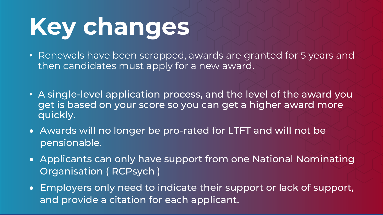### **Key changes**

- Renewals have been scrapped, awards are granted for 5 years and then candidates must apply for a new award.
- A single-level application process, and the level of the award you get is based on your score so you can get a higher award more quickly.
- Awards will no longer be pro-rated for LTFT and will not be pensionable.
- Applicants can only have support from one National Nominating Organisation ( RCPsych )
- Employers only need to indicate their support or lack of support, and provide a citation for each applicant.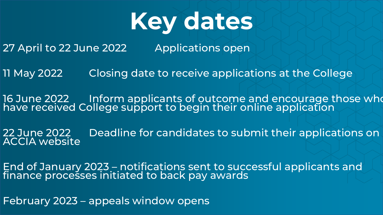

27 April to 22 June 2022 Applications open

11 May 2022 Closing date to receive applications at the College

16 June 2022 Inform applicants of outcome and encourage those who have received College support to begin their online application

22 June 2022 Deadline for candidates to submit their applications on <br>ACCIA website

End of January 2023 – notifications sent to successful applicants and finance processes initiated to back pay awards

February 2023 – appeals window opens